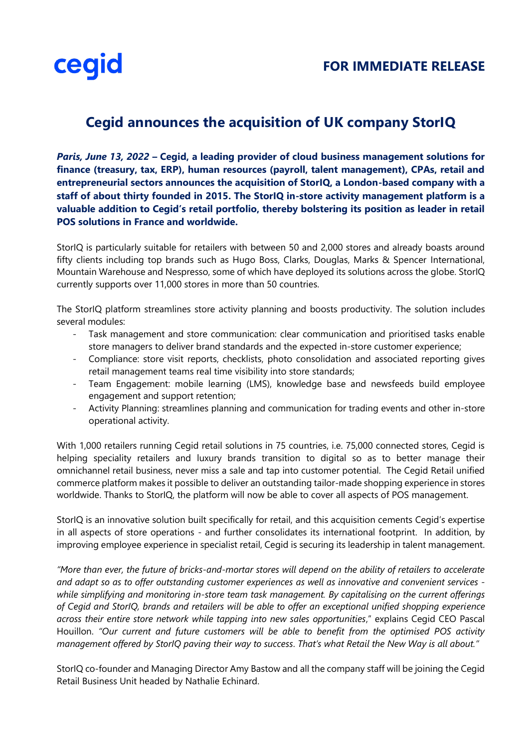

## **Cegid announces the acquisition of UK company StorIQ**

*Paris, June 13, 2022* **– Cegid, a leading provider of cloud business management solutions for finance (treasury, tax, ERP), human resources (payroll, talent management), CPAs, retail and entrepreneurial sectors announces the acquisition of StorIQ, a London-based company with a staff of about thirty founded in 2015. The StorIQ in-store activity management platform is a valuable addition to Cegid's retail portfolio, thereby bolstering its position as leader in retail POS solutions in France and worldwide.** 

StorIQ is particularly suitable for retailers with between 50 and 2,000 stores and already boasts around fifty clients including top brands such as Hugo Boss, Clarks, Douglas, Marks & Spencer International, Mountain Warehouse and Nespresso, some of which have deployed its solutions across the globe. StorIQ currently supports over 11,000 stores in more than 50 countries.

The StorIQ platform streamlines store activity planning and boosts productivity. The solution includes several modules:

- Task management and store communication: clear communication and prioritised tasks enable store managers to deliver brand standards and the expected in-store customer experience;
- Compliance: store visit reports, checklists, photo consolidation and associated reporting gives retail management teams real time visibility into store standards;
- Team Engagement: mobile learning (LMS), knowledge base and newsfeeds build employee engagement and support retention;
- Activity Planning: streamlines planning and communication for trading events and other in-store operational activity.

With 1,000 retailers running Cegid retail solutions in 75 countries, i.e. 75,000 connected stores, Cegid is helping speciality retailers and luxury brands transition to digital so as to better manage their omnichannel retail business, never miss a sale and tap into customer potential. The Cegid Retail unified commerce platform makes it possible to deliver an outstanding tailor-made shopping experience in stores worldwide. Thanks to StorIQ, the platform will now be able to cover all aspects of POS management.

StorIQ is an innovative solution built specifically for retail, and this acquisition cements Cegid's expertise in all aspects of store operations - and further consolidates its international footprint. In addition, by improving employee experience in specialist retail, Cegid is securing its leadership in talent management.

*"More than ever, the future of bricks-and-mortar stores will depend on the ability of retailers to accelerate and adapt so as to offer outstanding customer experiences as well as innovative and convenient services while simplifying and monitoring in-store team task management. By capitalising on the current offerings of Cegid and StorIQ, brands and retailers will be able to offer an exceptional unified shopping experience across their entire store network while tapping into new sales opportunities*," explains Cegid CEO Pascal Houillon. *"Our current and future customers will be able to benefit from the optimised POS activity management offered by StorIQ paving their way to success*. *That's what Retail the New Way is all about."*

StorIQ co-founder and Managing Director Amy Bastow and all the company staff will be joining the Cegid Retail Business Unit headed by Nathalie Echinard.